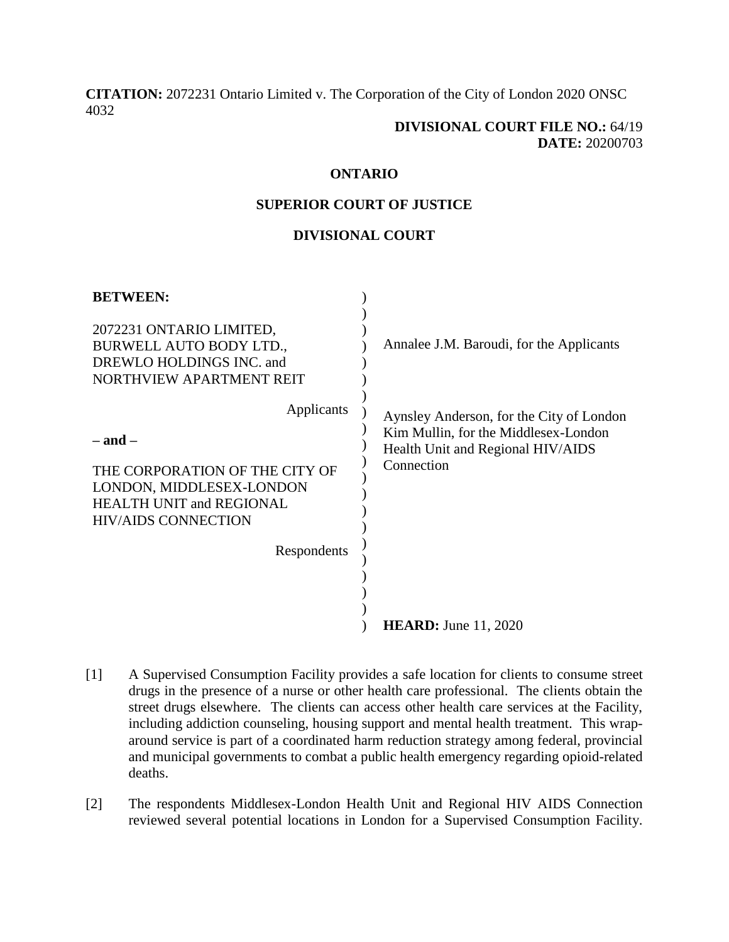**[CITATION:](http://intra.judicialsecurity.jus.gov.on.ca/NeutralCitation/)** 2072231 Ontario Limited v. The Corporation of the City of London 2020 ONSC 4032

### **DIVISIONAL COURT FILE NO.:** 64/19 **DATE:** 20200703

#### **ONTARIO**

#### **SUPERIOR COURT OF JUSTICE**

## **DIVISIONAL COURT**

| <b>BETWEEN:</b>                                                                                                                                                         |                                                                                                                                     |
|-------------------------------------------------------------------------------------------------------------------------------------------------------------------------|-------------------------------------------------------------------------------------------------------------------------------------|
| 2072231 ONTARIO LIMITED,<br>BURWELL AUTO BODY LTD.,<br>DREWLO HOLDINGS INC. and<br>NORTHVIEW APARTMENT REIT                                                             | Annalee J.M. Baroudi, for the Applicants                                                                                            |
| Applicants<br>$-$ and $-$<br>THE CORPORATION OF THE CITY OF<br>LONDON, MIDDLESEX-LONDON<br><b>HEALTH UNIT and REGIONAL</b><br><b>HIV/AIDS CONNECTION</b><br>Respondents | Aynsley Anderson, for the City of London<br>Kim Mullin, for the Middlesex-London<br>Health Unit and Regional HIV/AIDS<br>Connection |
|                                                                                                                                                                         | <b>HEARD:</b> June 11, 2020                                                                                                         |

- [1] A Supervised Consumption Facility provides a safe location for clients to consume street drugs in the presence of a nurse or other health care professional. The clients obtain the street drugs elsewhere. The clients can access other health care services at the Facility, including addiction counseling, housing support and mental health treatment. This wraparound service is part of a coordinated harm reduction strategy among federal, provincial and municipal governments to combat a public health emergency regarding opioid-related deaths.
- [2] The respondents Middlesex-London Health Unit and Regional HIV AIDS Connection reviewed several potential locations in London for a Supervised Consumption Facility.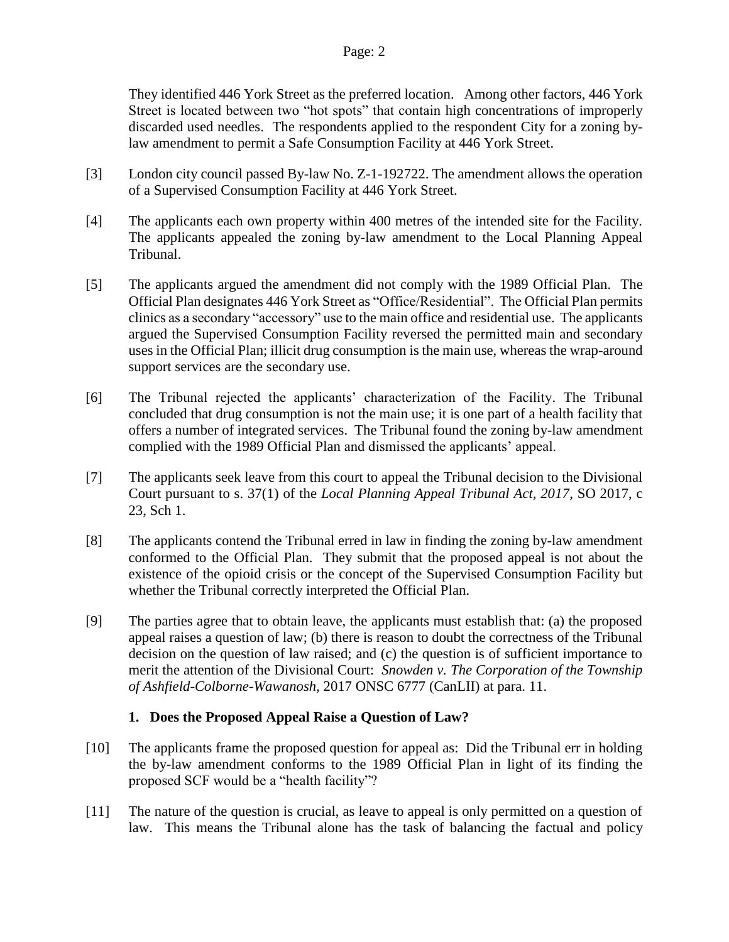They identified 446 York Street as the preferred location. Among other factors, 446 York Street is located between two "hot spots" that contain high concentrations of improperly discarded used needles. The respondents applied to the respondent City for a zoning bylaw amendment to permit a Safe Consumption Facility at 446 York Street.

- [3] London city council passed By-law No. Z-1-192722. The amendment allows the operation of a Supervised Consumption Facility at 446 York Street.
- [4] The applicants each own property within 400 metres of the intended site for the Facility. The applicants appealed the zoning by-law amendment to the Local Planning Appeal Tribunal.
- [5] The applicants argued the amendment did not comply with the 1989 Official Plan. The Official Plan designates 446 York Street as "Office/Residential". The Official Plan permits clinics as a secondary "accessory" use to the main office and residential use. The applicants argued the Supervised Consumption Facility reversed the permitted main and secondary uses in the Official Plan; illicit drug consumption is the main use, whereas the wrap-around support services are the secondary use.
- [6] The Tribunal rejected the applicants' characterization of the Facility. The Tribunal concluded that drug consumption is not the main use; it is one part of a health facility that offers a number of integrated services. The Tribunal found the zoning by-law amendment complied with the 1989 Official Plan and dismissed the applicants' appeal.
- [7] The applicants seek leave from this court to appeal the Tribunal decision to the Divisional Court pursuant to s. 37(1) of the *Local Planning Appeal Tribunal Act, 2017*, SO 2017, c 23, Sch 1.
- [8] The applicants contend the Tribunal erred in law in finding the zoning by-law amendment conformed to the Official Plan. They submit that the proposed appeal is not about the existence of the opioid crisis or the concept of the Supervised Consumption Facility but whether the Tribunal correctly interpreted the Official Plan.
- [9] The parties agree that to obtain leave, the applicants must establish that: (a) the proposed appeal raises a question of law; (b) there is reason to doubt the correctness of the Tribunal decision on the question of law raised; and (c) the question is of sufficient importance to merit the attention of the Divisional Court: *Snowden v. The Corporation of the Township of Ashfield-Colborne-Wawanosh,* 2017 ONSC 6777 (CanLII) at para. 11.

## **1. Does the Proposed Appeal Raise a Question of Law?**

- [10] The applicants frame the proposed question for appeal as: Did the Tribunal err in holding the by-law amendment conforms to the 1989 Official Plan in light of its finding the proposed SCF would be a "health facility"?
- [11] The nature of the question is crucial, as leave to appeal is only permitted on a question of law. This means the Tribunal alone has the task of balancing the factual and policy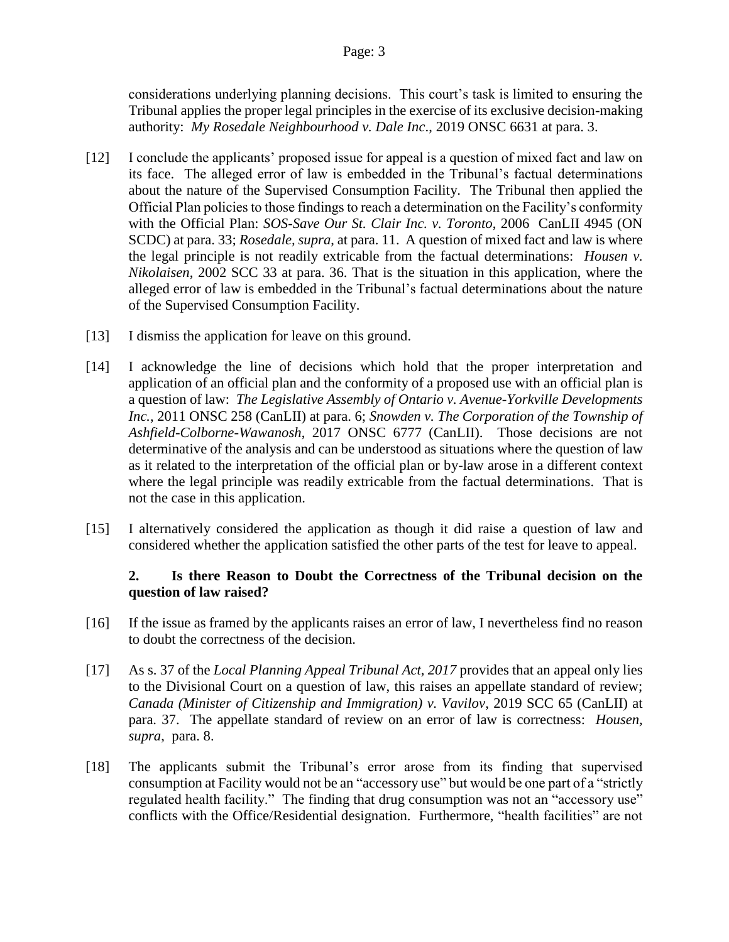considerations underlying planning decisions. This court's task is limited to ensuring the Tribunal applies the proper legal principles in the exercise of its exclusive decision-making authority: *My Rosedale Neighbourhood v. Dale Inc*., 2019 ONSC 6631 at para. 3.

- [12] I conclude the applicants' proposed issue for appeal is a question of mixed fact and law on its face. The alleged error of law is embedded in the Tribunal's factual determinations about the nature of the Supervised Consumption Facility. The Tribunal then applied the Official Plan policies to those findings to reach a determination on the Facility's conformity with the Official Plan: *SOS-Save Our St. Clair Inc. v. Toronto*, 2006 CanLII 4945 (ON SCDC) at para. 33; *Rosedale, supra*, at para. 11. A question of mixed fact and law is where the legal principle is not readily extricable from the factual determinations: *Housen v. Nikolaisen*, 2002 SCC 33 at para. 36. That is the situation in this application, where the alleged error of law is embedded in the Tribunal's factual determinations about the nature of the Supervised Consumption Facility.
- [13] I dismiss the application for leave on this ground.
- [14] I acknowledge the line of decisions which hold that the proper interpretation and application of an official plan and the conformity of a proposed use with an official plan is a question of law: *The Legislative Assembly of Ontario v. Avenue-Yorkville Developments Inc.*, 2011 ONSC 258 (CanLII) at para. 6; *Snowden v. The Corporation of the Township of Ashfield-Colborne-Wawanosh*, 2017 ONSC 6777 (CanLII). Those decisions are not determinative of the analysis and can be understood as situations where the question of law as it related to the interpretation of the official plan or by-law arose in a different context where the legal principle was readily extricable from the factual determinations. That is not the case in this application.
- [15] I alternatively considered the application as though it did raise a question of law and considered whether the application satisfied the other parts of the test for leave to appeal.

# **2. Is there Reason to Doubt the Correctness of the Tribunal decision on the question of law raised?**

- [16] If the issue as framed by the applicants raises an error of law, I nevertheless find no reason to doubt the correctness of the decision.
- [17] As s. 37 of the *Local Planning Appeal Tribunal Act, 2017* provides that an appeal only lies to the Divisional Court on a question of law, this raises an appellate standard of review; *Canada (Minister of Citizenship and Immigration) v. Vavilov*, 2019 SCC 65 (CanLII) at para. 37. The appellate standard of review on an error of law is correctness: *Housen, supra*, para. 8.
- [18] The applicants submit the Tribunal's error arose from its finding that supervised consumption at Facility would not be an "accessory use" but would be one part of a "strictly regulated health facility." The finding that drug consumption was not an "accessory use" conflicts with the Office/Residential designation. Furthermore, "health facilities" are not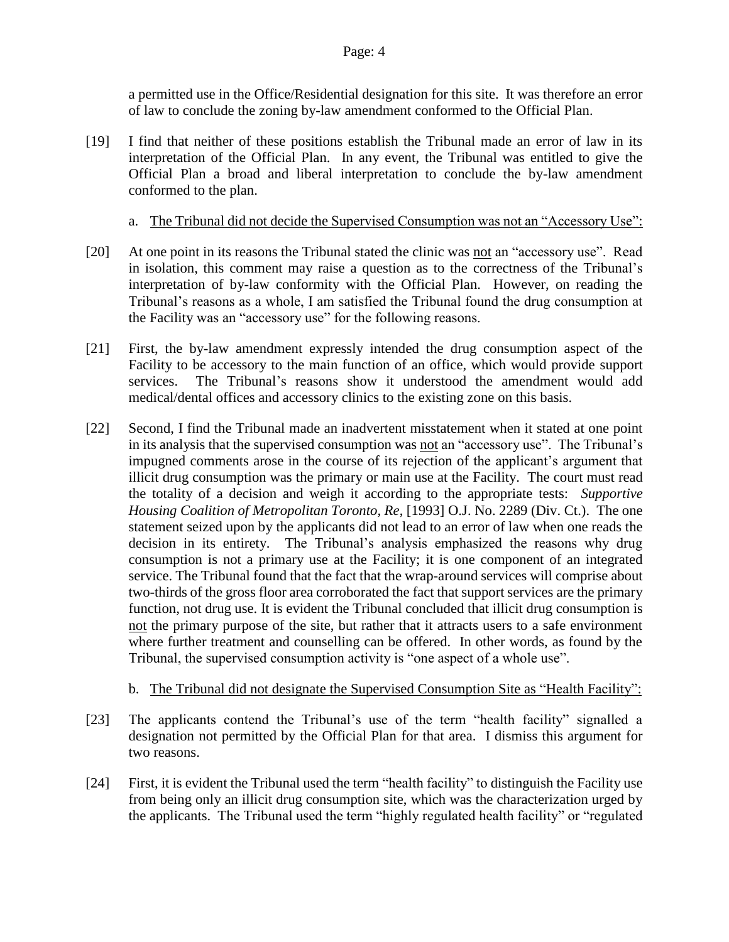a permitted use in the Office/Residential designation for this site. It was therefore an error of law to conclude the zoning by-law amendment conformed to the Official Plan.

- [19] I find that neither of these positions establish the Tribunal made an error of law in its interpretation of the Official Plan. In any event, the Tribunal was entitled to give the Official Plan a broad and liberal interpretation to conclude the by-law amendment conformed to the plan.
	- a. The Tribunal did not decide the Supervised Consumption was not an "Accessory Use":
- [20] At one point in its reasons the Tribunal stated the clinic was not an "accessory use". Read in isolation, this comment may raise a question as to the correctness of the Tribunal's interpretation of by-law conformity with the Official Plan. However, on reading the Tribunal's reasons as a whole, I am satisfied the Tribunal found the drug consumption at the Facility was an "accessory use" for the following reasons.
- [21] First, the by-law amendment expressly intended the drug consumption aspect of the Facility to be accessory to the main function of an office, which would provide support services. The Tribunal's reasons show it understood the amendment would add medical/dental offices and accessory clinics to the existing zone on this basis.
- [22] Second, I find the Tribunal made an inadvertent misstatement when it stated at one point in its analysis that the supervised consumption was not an "accessory use". The Tribunal's impugned comments arose in the course of its rejection of the applicant's argument that illicit drug consumption was the primary or main use at the Facility. The court must read the totality of a decision and weigh it according to the appropriate tests: *Supportive Housing Coalition of Metropolitan Toronto, Re*, [1993] O.J. No. 2289 (Div. Ct.). The one statement seized upon by the applicants did not lead to an error of law when one reads the decision in its entirety. The Tribunal's analysis emphasized the reasons why drug consumption is not a primary use at the Facility; it is one component of an integrated service. The Tribunal found that the fact that the wrap-around services will comprise about two-thirds of the gross floor area corroborated the fact that support services are the primary function, not drug use. It is evident the Tribunal concluded that illicit drug consumption is not the primary purpose of the site, but rather that it attracts users to a safe environment where further treatment and counselling can be offered. In other words, as found by the Tribunal, the supervised consumption activity is "one aspect of a whole use".

## b. The Tribunal did not designate the Supervised Consumption Site as "Health Facility":

- [23] The applicants contend the Tribunal's use of the term "health facility" signalled a designation not permitted by the Official Plan for that area. I dismiss this argument for two reasons.
- [24] First, it is evident the Tribunal used the term "health facility" to distinguish the Facility use from being only an illicit drug consumption site, which was the characterization urged by the applicants. The Tribunal used the term "highly regulated health facility" or "regulated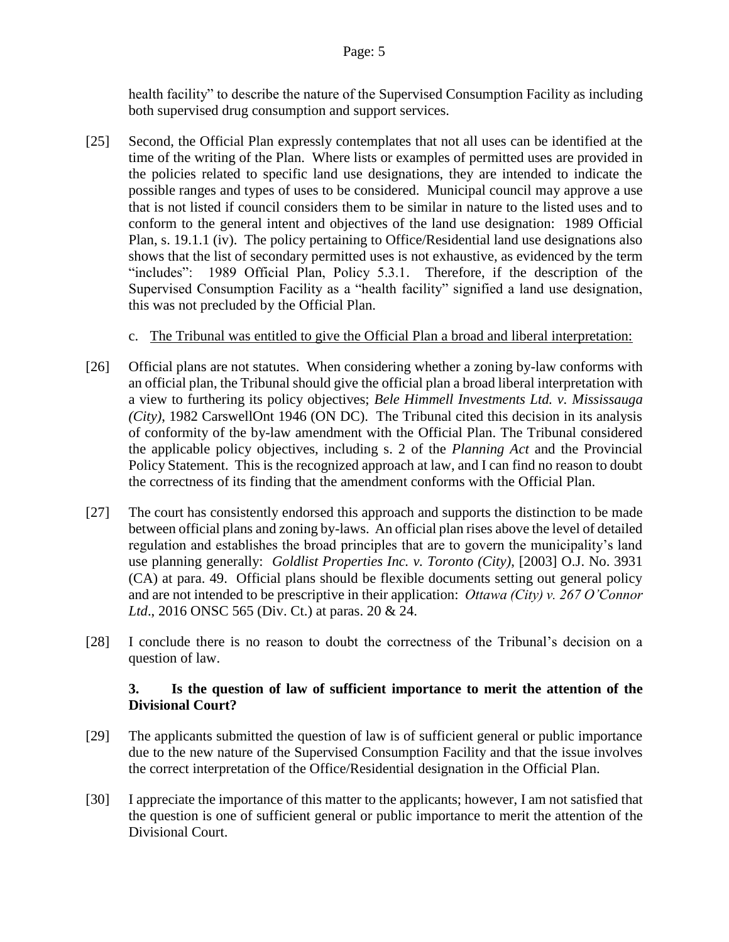health facility" to describe the nature of the Supervised Consumption Facility as including both supervised drug consumption and support services.

- [25] Second, the Official Plan expressly contemplates that not all uses can be identified at the time of the writing of the Plan. Where lists or examples of permitted uses are provided in the policies related to specific land use designations, they are intended to indicate the possible ranges and types of uses to be considered. Municipal council may approve a use that is not listed if council considers them to be similar in nature to the listed uses and to conform to the general intent and objectives of the land use designation: 1989 Official Plan, s. 19.1.1 (iv). The policy pertaining to Office/Residential land use designations also shows that the list of secondary permitted uses is not exhaustive, as evidenced by the term "includes": 1989 Official Plan, Policy 5.3.1. Therefore, if the description of the Supervised Consumption Facility as a "health facility" signified a land use designation, this was not precluded by the Official Plan.
	- c. The Tribunal was entitled to give the Official Plan a broad and liberal interpretation:
- [26] Official plans are not statutes. When considering whether a zoning by-law conforms with an official plan, the Tribunal should give the official plan a broad liberal interpretation with a view to furthering its policy objectives; *Bele Himmell Investments Ltd. v. Mississauga (City)*, 1982 CarswellOnt 1946 (ON DC). The Tribunal cited this decision in its analysis of conformity of the by-law amendment with the Official Plan. The Tribunal considered the applicable policy objectives, including s. 2 of the *Planning Act* and the Provincial Policy Statement. This is the recognized approach at law, and I can find no reason to doubt the correctness of its finding that the amendment conforms with the Official Plan.
- [27] The court has consistently endorsed this approach and supports the distinction to be made between official plans and zoning by-laws. An official plan rises above the level of detailed regulation and establishes the broad principles that are to govern the municipality's land use planning generally: *Goldlist Properties Inc. v. Toronto (City)*, [2003] O.J. No. 3931 (CA) at para. 49. Official plans should be flexible documents setting out general policy and are not intended to be prescriptive in their application: *Ottawa (City) v. 267 O'Connor Ltd*., 2016 ONSC 565 (Div. Ct.) at paras. 20 & 24.
- [28] I conclude there is no reason to doubt the correctness of the Tribunal's decision on a question of law.

# **3. Is the question of law of sufficient importance to merit the attention of the Divisional Court?**

- [29] The applicants submitted the question of law is of sufficient general or public importance due to the new nature of the Supervised Consumption Facility and that the issue involves the correct interpretation of the Office/Residential designation in the Official Plan.
- [30] I appreciate the importance of this matter to the applicants; however, I am not satisfied that the question is one of sufficient general or public importance to merit the attention of the Divisional Court.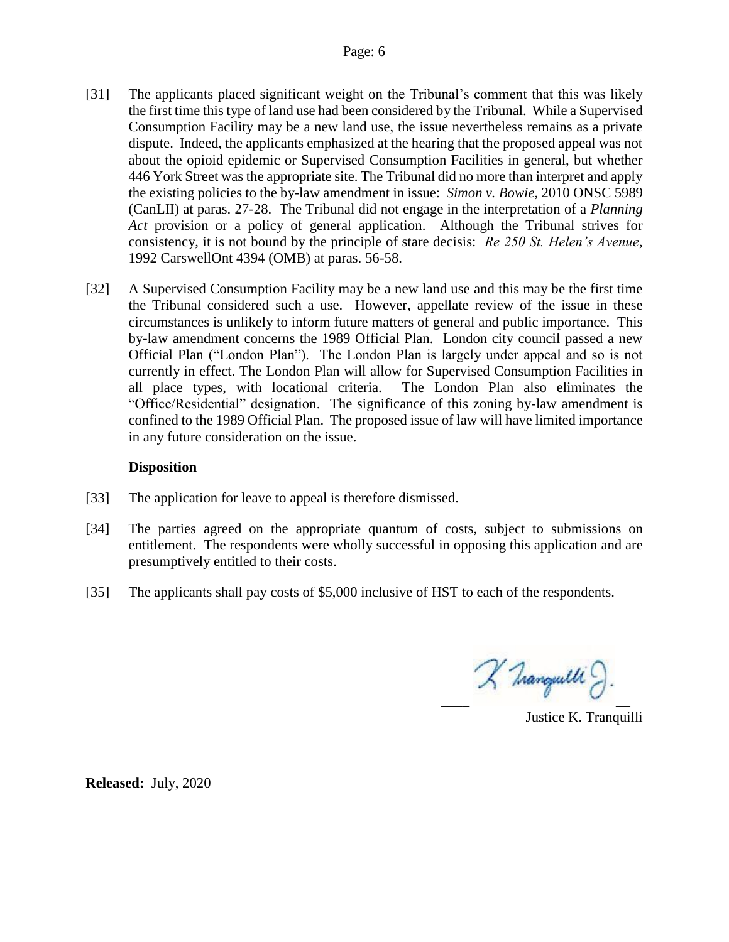- [31] The applicants placed significant weight on the Tribunal's comment that this was likely the first time this type of land use had been considered by the Tribunal. While a Supervised Consumption Facility may be a new land use, the issue nevertheless remains as a private dispute. Indeed, the applicants emphasized at the hearing that the proposed appeal was not about the opioid epidemic or Supervised Consumption Facilities in general, but whether 446 York Street was the appropriate site. The Tribunal did no more than interpret and apply the existing policies to the by-law amendment in issue: *Simon v. Bowie*, 2010 ONSC 5989 (CanLII) at paras. 27-28. The Tribunal did not engage in the interpretation of a *Planning Act* provision or a policy of general application. Although the Tribunal strives for consistency, it is not bound by the principle of stare decisis: *Re 250 St. Helen's Avenue*, 1992 CarswellOnt 4394 (OMB) at paras. 56-58.
- [32] A Supervised Consumption Facility may be a new land use and this may be the first time the Tribunal considered such a use. However, appellate review of the issue in these circumstances is unlikely to inform future matters of general and public importance. This by-law amendment concerns the 1989 Official Plan. London city council passed a new Official Plan ("London Plan"). The London Plan is largely under appeal and so is not currently in effect. The London Plan will allow for Supervised Consumption Facilities in all place types, with locational criteria. The London Plan also eliminates the "Office/Residential" designation. The significance of this zoning by-law amendment is confined to the 1989 Official Plan. The proposed issue of law will have limited importance in any future consideration on the issue.

## **Disposition**

- [33] The application for leave to appeal is therefore dismissed.
- [34] The parties agreed on the appropriate quantum of costs, subject to submissions on entitlement. The respondents were wholly successful in opposing this application and are presumptively entitled to their costs.
- [35] The applicants shall pay costs of \$5,000 inclusive of HST to each of the respondents.

 $\chi$  Tranquelli  $\partial$ .

Justice K. Tranquilli

**Released:** July, 2020